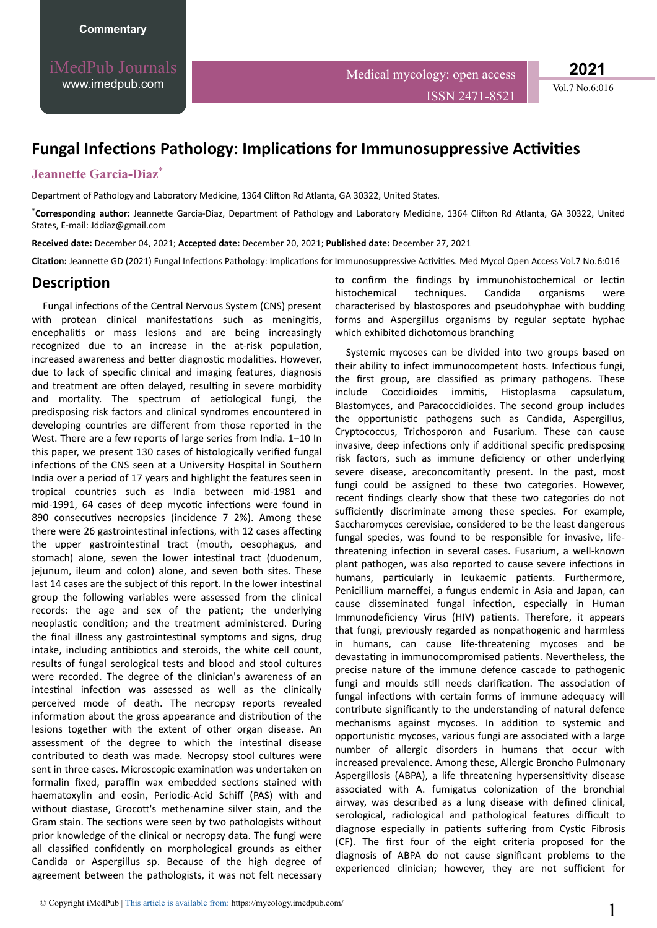iMedPub Journals [www.imedpub.com](http://www.imedpub.com/)

**2021**

## **Fungal Infections Pathology: Implications for Immunosuppressive Activities**

## **Jeannette Garcia-Diaz**\*

Department of Pathology and Laboratory Medicine, 1364 Clifton Rd Atlanta, GA 30322, United States.

\*Corresponding author: Jeannette Garcia-Diaz, Department of Pathology and Laboratory Medicine, 1364 Clifton Rd Atlanta, GA 30322, United States, E-mail: Jddiaz@gmail.com

**Received date:** December 04, 2021; **Accepted date:** December 20, 2021; **Published date:** December 27, 2021

Citation: Jeannette GD (2021) Fungal Infections Pathology: Implications for Immunosuppressive Activities. Med Mycol Open Access Vol.7 No.6:016

## Description

Fungal infections of the Central Nervous System (CNS) present with protean clinical manifestations such as meningitis, encephalitis or mass lesions and are being increasingly recognized due to an increase in the at-risk population, increased awareness and better diagnostic modalities. However, due to lack of specific clinical and imaging features, diagnosis and treatment are often delayed, resulting in severe morbidity and mortality. The spectrum of aetiological fungi, the predisposing risk factors and clinical syndromes encountered in developing countries are different from those reported in the West. There are a few reports of large series from India. 1–10 In this paper, we present 130 cases of histologically verified fungal infections of the CNS seen at a University Hospital in Southern India over a period of 17 years and highlight the features seen in tropical countries such as India between mid-1981 and mid-1991, 64 cases of deep mycotic infections were found in 890 consecutives necropsies (incidence 7 2%). Among these there were 26 gastrointestinal infections, with 12 cases affecting the upper gastrointestinal tract (mouth, oesophagus, and stomach) alone, seven the lower intestinal tract (duodenum, jejunum, ileum and colon) alone, and seven both sites. These last 14 cases are the subject of this report. In the lower intestinal group the following variables were assessed from the clinical records: the age and sex of the patient; the underlying neoplastic condition; and the treatment administered. During the final illness any gastrointestinal symptoms and signs, drug intake, including antibiotics and steroids, the white cell count, results of fungal serological tests and blood and stool cultures were recorded. The degree of the clinician's awareness of an intestinal infection was assessed as well as the clinically perceived mode of death. The necropsy reports revealed information about the gross appearance and distribution of the lesions together with the extent of other organ disease. An assessment of the degree to which the intestinal disease contributed to death was made. Necropsy stool cultures were sent in three cases. Microscopic examination was undertaken on formalin fixed, paraffin wax embedded sections stained with haematoxylin and eosin, Periodic-Acid Schiff (PAS) with and without diastase, Grocott's methenamine silver stain, and the Gram stain. The sections were seen by two pathologists without prior knowledge of the clinical or necropsy data. The fungi were all classified confidently on morphological grounds as either Candida or Aspergillus sp. Because of the high degree of agreement between the pathologists, it was not felt necessary

to confirm the findings by immunohistochemical or lectin histochemical techniques. Candida organisms were characterised by blastospores and pseudohyphae with budding forms and Aspergillus organisms by regular septate hyphae which exhibited dichotomous branching

Systemic mycoses can be divided into two groups based on their ability to infect immunocompetent hosts. Infectious fungi, the first group, are classified as primary pathogens. These include Coccidioides immitis, Histoplasma capsulatum, Blastomyces, and Paracoccidioides. The second group includes the opportunistic pathogens such as Candida, Aspergillus, Cryptococcus, Trichosporon and Fusarium. These can cause invasive, deep infections only if additional specific predisposing risk factors, such as immune deficiency or other underlying severe disease, areconcomitantly present. In the past, most fungi could be assigned to these two categories. However, recent findings clearly show that these two categories do not sufficiently discriminate among these species. For example, Saccharomyces cerevisiae, considered to be the least dangerous fungal species, was found to be responsible for invasive, lifethreatening infection in several cases. Fusarium, a well-known plant pathogen, was also reported to cause severe infections in humans, particularly in leukaemic patients. Furthermore, Penicillium marneffei, a fungus endemic in Asia and Japan, can cause disseminated fungal infection, especially in Human Immunodeficiency Virus (HIV) patients. Therefore, it appears that fungi, previously regarded as nonpathogenic and harmless in humans, can cause life-threatening mycoses and be devastating in immunocompromised patients. Nevertheless, the precise nature of the immune defence cascade to pathogenic fungi and moulds still needs clarification. The association of fungal infections with certain forms of immune adequacy will contribute significantly to the understanding of natural defence mechanisms against mycoses. In addition to systemic and opportunistic mycoses, various fungi are associated with a large number of allergic disorders in humans that occur with increased prevalence. Among these, Allergic Broncho Pulmonary Aspergillosis (ABPA), a life threatening hypersensitivity disease associated with A. fumigatus colonization of the bronchial airway, was described as a lung disease with defined clinical, serological, radiological and pathological features difficult to diagnose especially in patients suffering from Cystic Fibrosis (CF). The first four of the eight criteria proposed for the diagnosis of ABPA do not cause significant problems to the experienced clinician; however, they are not sufficient for